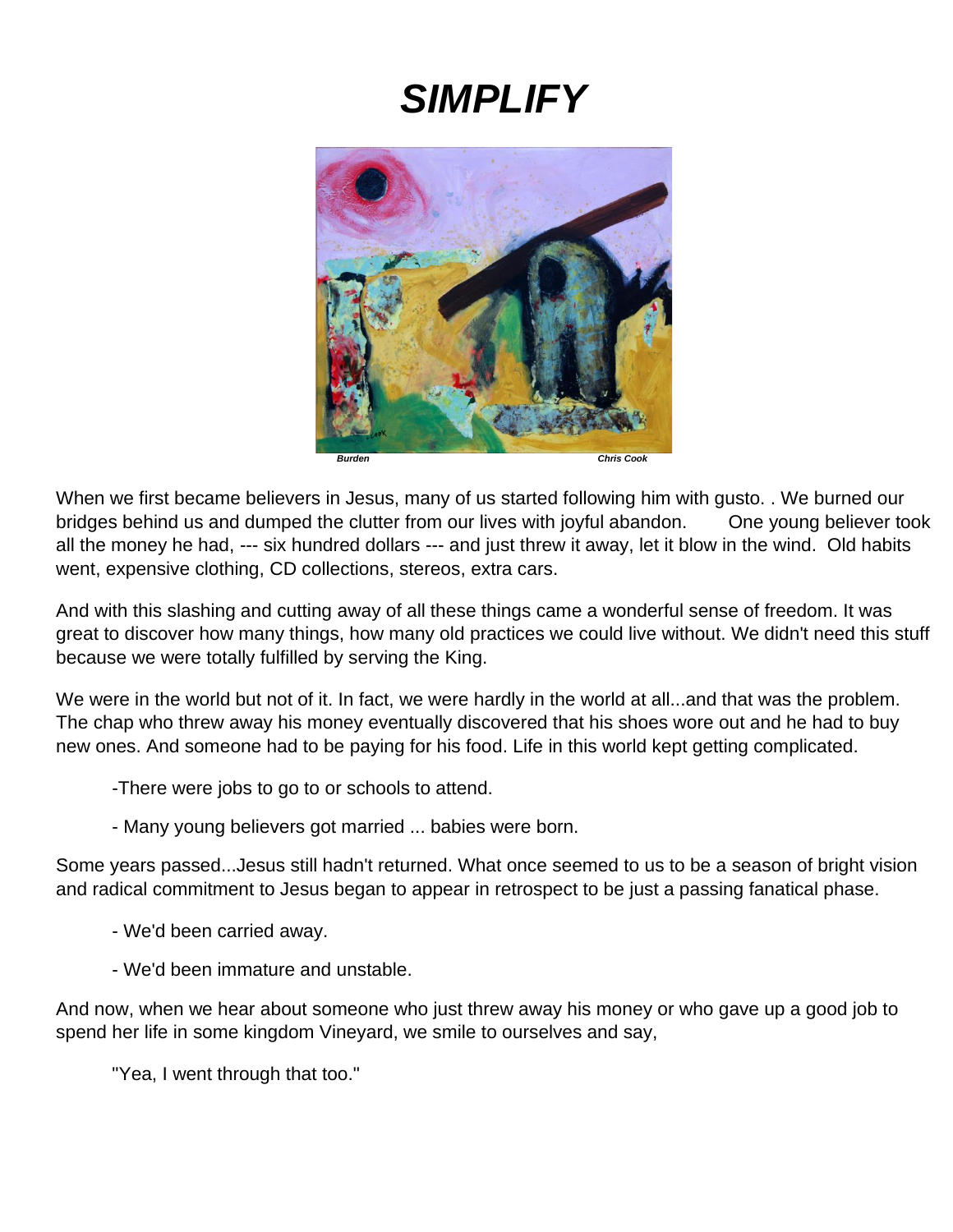# *SIMPLIFY*



When we first became believers in Jesus, many of us started following him with gusto. . We burned our bridges behind us and dumped the clutter from our lives with joyful abandon. One young believer took all the money he had, --- six hundred dollars --- and just threw it away, let it blow in the wind. Old habits went, expensive clothing, CD collections, stereos, extra cars.

And with this slashing and cutting away of all these things came a wonderful sense of freedom. It was great to discover how many things, how many old practices we could live without. We didn't need this stuff because we were totally fulfilled by serving the King.

We were in the world but not of it. In fact, we were hardly in the world at all...and that was the problem. The chap who threw away his money eventually discovered that his shoes wore out and he had to buy new ones. And someone had to be paying for his food. Life in this world kept getting complicated.

- -There were jobs to go to or schools to attend.
- Many young believers got married ... babies were born.

Some years passed...Jesus still hadn't returned. What once seemed to us to be a season of bright vision and radical commitment to Jesus began to appear in retrospect to be just a passing fanatical phase.

- We'd been carried away.
- We'd been immature and unstable.

And now, when we hear about someone who just threw away his money or who gave up a good job to spend her life in some kingdom Vineyard, we smile to ourselves and say,

"Yea, I went through that too."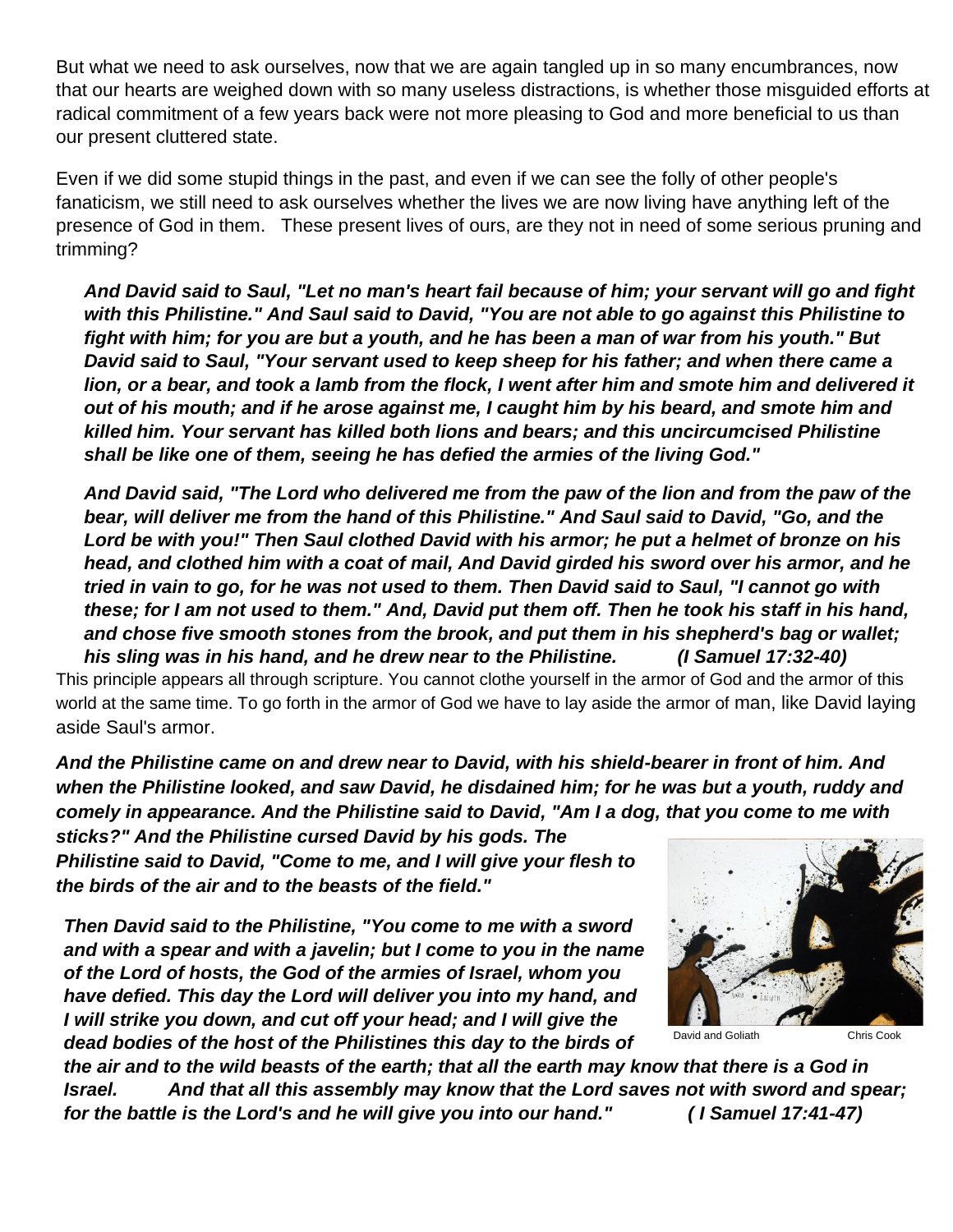But what we need to ask ourselves, now that we are again tangled up in so many encumbrances, now that our hearts are weighed down with so many useless distractions, is whether those misguided efforts at radical commitment of a few years back were not more pleasing to God and more beneficial to us than our present cluttered state.

Even if we did some stupid things in the past, and even if we can see the folly of other people's fanaticism, we still need to ask ourselves whether the lives we are now living have anything left of the presence of God in them. These present lives of ours, are they not in need of some serious pruning and trimming?

*And David said to Saul, "Let no man's heart fail because of him; your servant will go and fight with this Philistine." And Saul said to David, "You are not able to go against this Philistine to fight with him; for you are but a youth, and he has been a man of war from his youth." But David said to Saul, "Your servant used to keep sheep for his father; and when there came a lion, or a bear, and took a lamb from the flock, I went after him and smote him and delivered it out of his mouth; and if he arose against me, I caught him by his beard, and smote him and killed him. Your servant has killed both lions and bears; and this uncircumcised Philistine shall be like one of them, seeing he has defied the armies of the living God."* 

*And David said, "The Lord who delivered me from the paw of the lion and from the paw of the bear, will deliver me from the hand of this Philistine." And Saul said to David, "Go, and the Lord be with you!" Then Saul clothed David with his armor; he put a helmet of bronze on his head, and clothed him with a coat of mail, And David girded his sword over his armor, and he tried in vain to go, for he was not used to them. Then David said to Saul, "I cannot go with these; for I am not used to them." And, David put them off. Then he took his staff in his hand, and chose five smooth stones from the brook, and put them in his shepherd's bag or wallet; his sling was in his hand, and he drew near to the Philistine. (I Samuel 17:32-40)*

This principle appears all through scripture. You cannot clothe yourself in the armor of God and the armor of this world at the same time. To go forth in the armor of God we have to lay aside the armor of man, like David laying aside Saul's armor.

*And the Philistine came on and drew near to David, with his shield-bearer in front of him. And when the Philistine looked, and saw David, he disdained him; for he was but a youth, ruddy and comely in appearance. And the Philistine said to David, "Am I a dog, that you come to me with* 

*sticks?" And the Philistine cursed David by his gods. The Philistine said to David, "Come to me, and I will give your flesh to the birds of the air and to the beasts of the field."*

*Then David said to the Philistine, "You come to me with a sword and with a spear and with a javelin; but I come to you in the name of the Lord of hosts, the God of the armies of Israel, whom you have defied. This day the Lord will deliver you into my hand, and I will strike you down, and cut off your head; and I will give the dead bodies of the host of the Philistines this day to the birds of* 



*the air and to the wild beasts of the earth; that all the earth may know that there is a God in Israel. And that all this assembly may know that the Lord saves not with sword and spear; for the battle is the Lord's and he will give you into our hand." ( I Samuel 17:41-47)*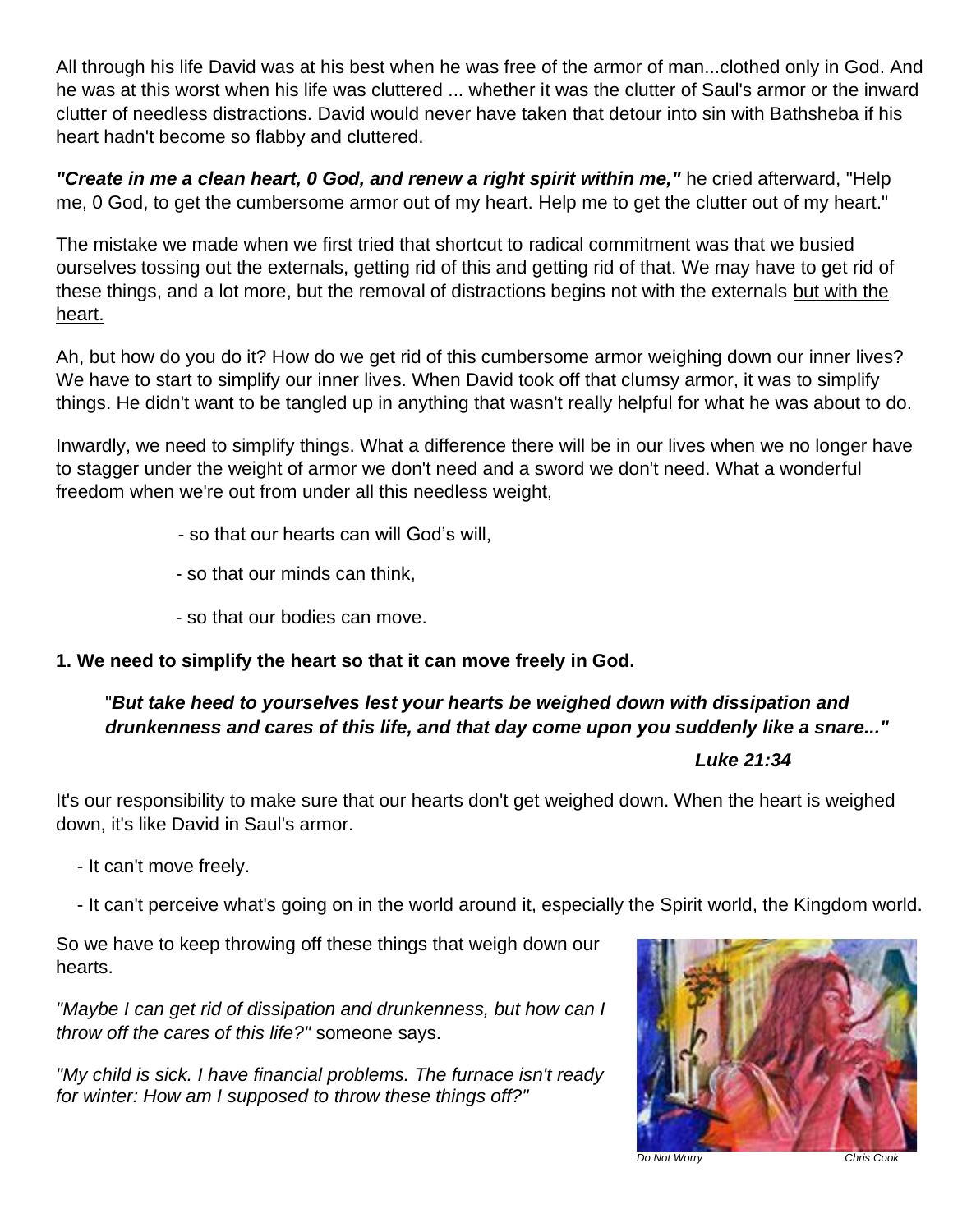All through his life David was at his best when he was free of the armor of man...clothed only in God. And he was at this worst when his life was cluttered ... whether it was the clutter of Saul's armor or the inward clutter of needless distractions. David would never have taken that detour into sin with Bathsheba if his heart hadn't become so flabby and cluttered.

"Create in me a clean heart, 0 God, and renew a right spirit within me," he cried afterward, "Help me, 0 God, to get the cumbersome armor out of my heart. Help me to get the clutter out of my heart."

The mistake we made when we first tried that shortcut to radical commitment was that we busied ourselves tossing out the externals, getting rid of this and getting rid of that. We may have to get rid of these things, and a lot more, but the removal of distractions begins not with the externals but with the heart.

Ah, but how do you do it? How do we get rid of this cumbersome armor weighing down our inner lives? We have to start to simplify our inner lives. When David took off that clumsy armor, it was to simplify things. He didn't want to be tangled up in anything that wasn't really helpful for what he was about to do.

Inwardly, we need to simplify things. What a difference there will be in our lives when we no longer have to stagger under the weight of armor we don't need and a sword we don't need. What a wonderful freedom when we're out from under all this needless weight,

- so that our hearts can will God's will,
- so that our minds can think,
- so that our bodies can move.

# **1. We need to simplify the heart so that it can move freely in God.**

# "*But take heed to yourselves lest your hearts be weighed down with dissipation and drunkenness and cares of this life, and that day come upon you suddenly like a snare..."*

## *Luke 21:34*

It's our responsibility to make sure that our hearts don't get weighed down. When the heart is weighed down, it's like David in Saul's armor.

- It can't move freely.
- It can't perceive what's going on in the world around it, especially the Spirit world, the Kingdom world.

So we have to keep throwing off these things that weigh down our hearts.

*"Maybe I can get rid of dissipation and drunkenness, but how can I throw off the cares of this life?"* someone says.

*"My child is sick. I have financial problems. The furnace isn't ready for winter: How am I supposed to throw these things off?"*



*Do Not Worry Chris Cook*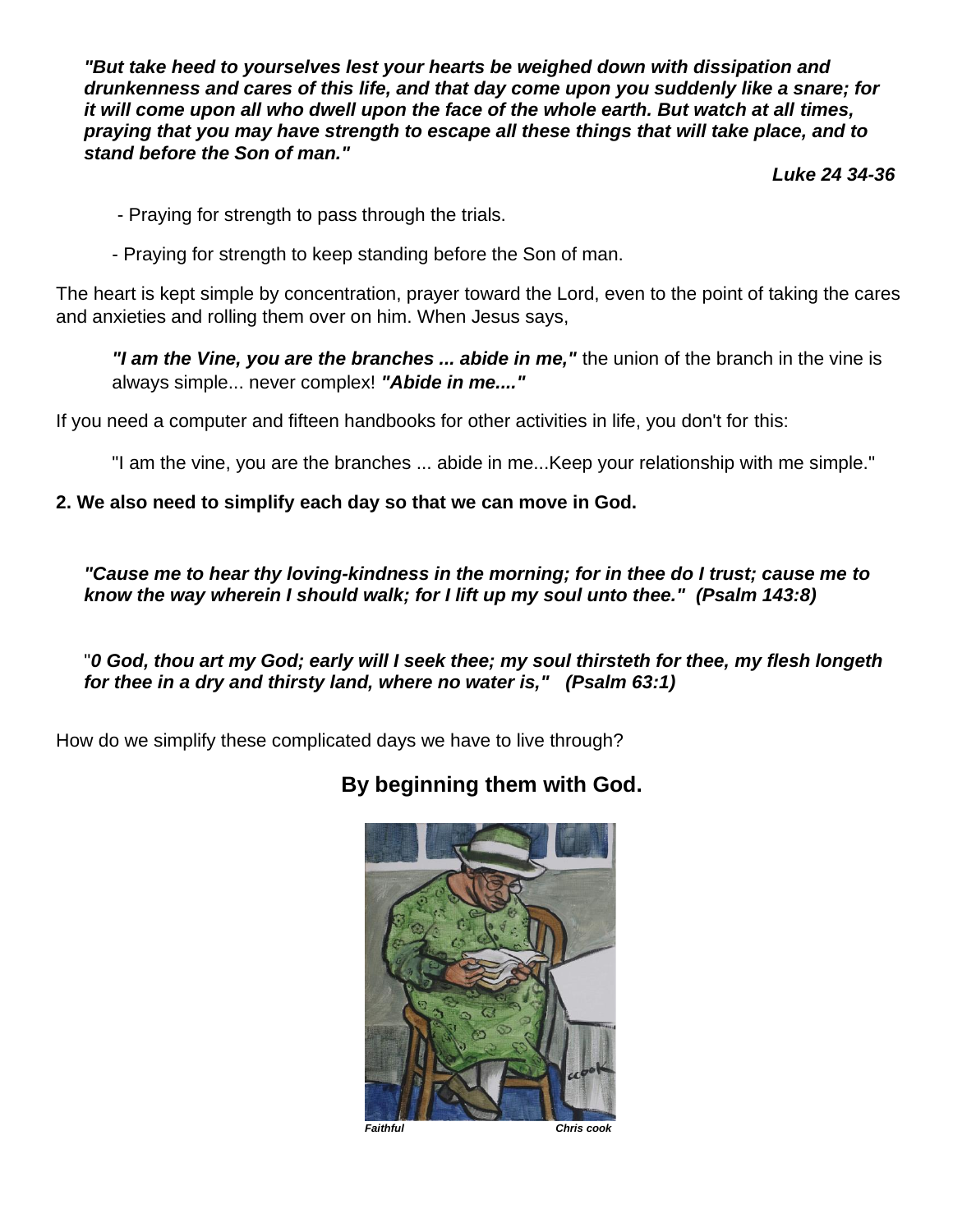*"But take heed to yourselves lest your hearts be weighed down with dissipation and drunkenness and cares of this life, and that day come upon you suddenly like a snare; for it will come upon all who dwell upon the face of the whole earth. But watch at all times, praying that you may have strength to escape all these things that will take place, and to stand before the Son of man."*

 *Luke 24 34-36*

- Praying for strength to pass through the trials.
- Praying for strength to keep standing before the Son of man.

The heart is kept simple by concentration, prayer toward the Lord, even to the point of taking the cares and anxieties and rolling them over on him. When Jesus says,

*"I am the Vine, you are the branches ... abide in me,"* the union of the branch in the vine is always simple... never complex! *"Abide in me...."*

If you need a computer and fifteen handbooks for other activities in life, you don't for this:

"I am the vine, you are the branches ... abide in me...Keep your relationship with me simple."

### **2. We also need to simplify each day so that we can move in God.**

*"Cause me to hear thy loving-kindness in the morning; for in thee do I trust; cause me to know the way wherein I should walk; for I lift up my soul unto thee." (Psalm 143:8)*

"*0 God, thou art my God; early will I seek thee; my soul thirsteth for thee, my flesh longeth for thee in a dry and thirsty land, where no water is," (Psalm 63:1)*

How do we simplify these complicated days we have to live through?

# **By beginning them with God.**



*Faithful Chris cook*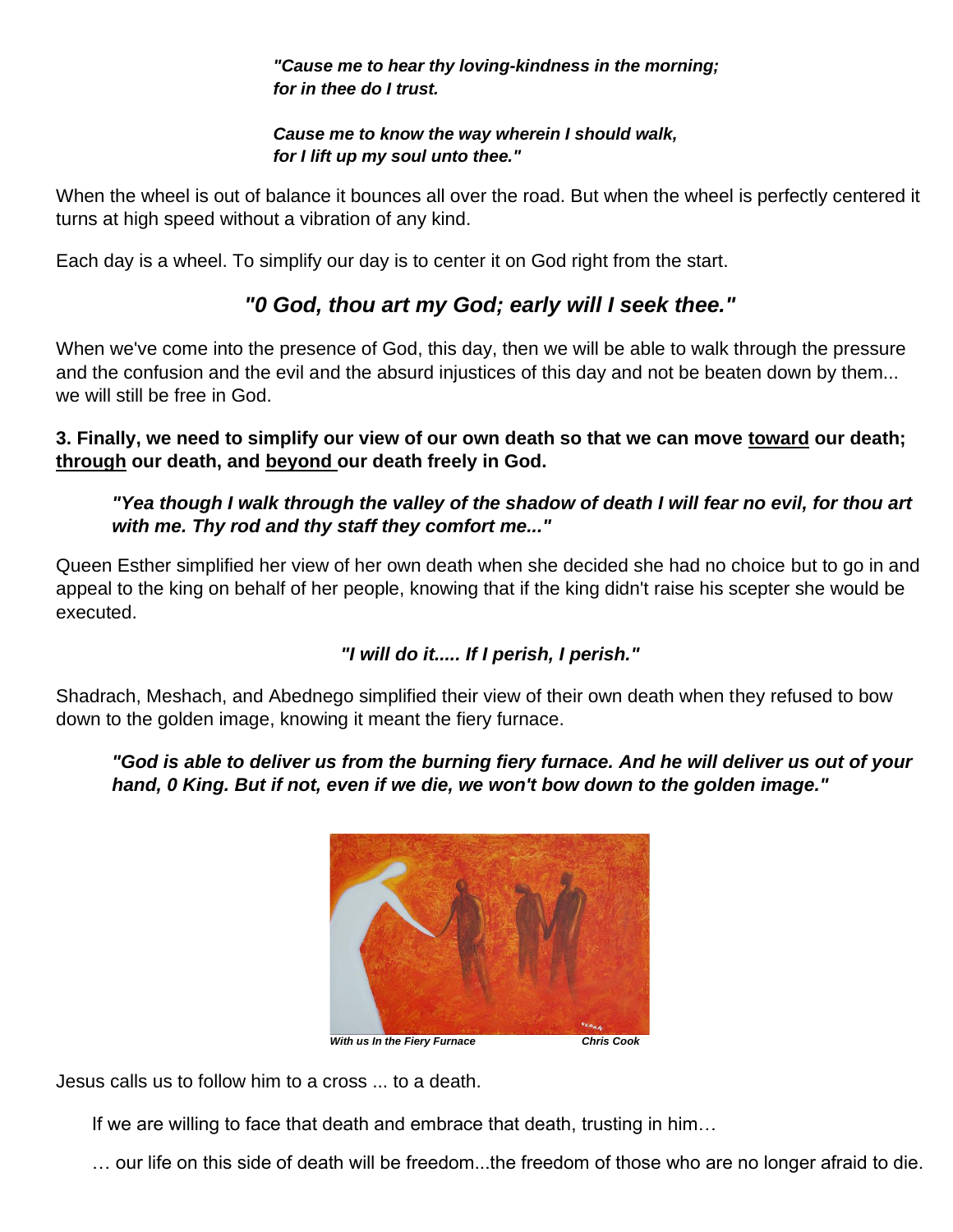*"Cause me to hear thy loving-kindness in the morning; for in thee do I trust.*

#### *Cause me to know the way wherein I should walk, for I lift up my soul unto thee."*

When the wheel is out of balance it bounces all over the road. But when the wheel is perfectly centered it turns at high speed without a vibration of any kind.

Each day is a wheel. To simplify our day is to center it on God right from the start.

# *"0 God, thou art my God; early will I seek thee."*

When we've come into the presence of God, this day, then we will be able to walk through the pressure and the confusion and the evil and the absurd injustices of this day and not be beaten down by them... we will still be free in God.

## **3. Finally, we need to simplify our view of our own death so that we can move toward our death; through our death, and beyond our death freely in God.**

# *"Yea though I walk through the valley of the shadow of death I will fear no evil, for thou art with me. Thy rod and thy staff they comfort me..."*

Queen Esther simplified her view of her own death when she decided she had no choice but to go in and appeal to the king on behalf of her people, knowing that if the king didn't raise his scepter she would be executed.

# *"I will do it..... If I perish, I perish."*

Shadrach, Meshach, and Abednego simplified their view of their own death when they refused to bow down to the golden image, knowing it meant the fiery furnace.

# *"God is able to deliver us from the burning fiery furnace. And he will deliver us out of your hand, 0 King. But if not, even if we die, we won't bow down to the golden image."*



Jesus calls us to follow him to a cross ... to a death.

If we are willing to face that death and embrace that death, trusting in him…

… our life on this side of death will be freedom...the freedom of those who are no longer afraid to die.